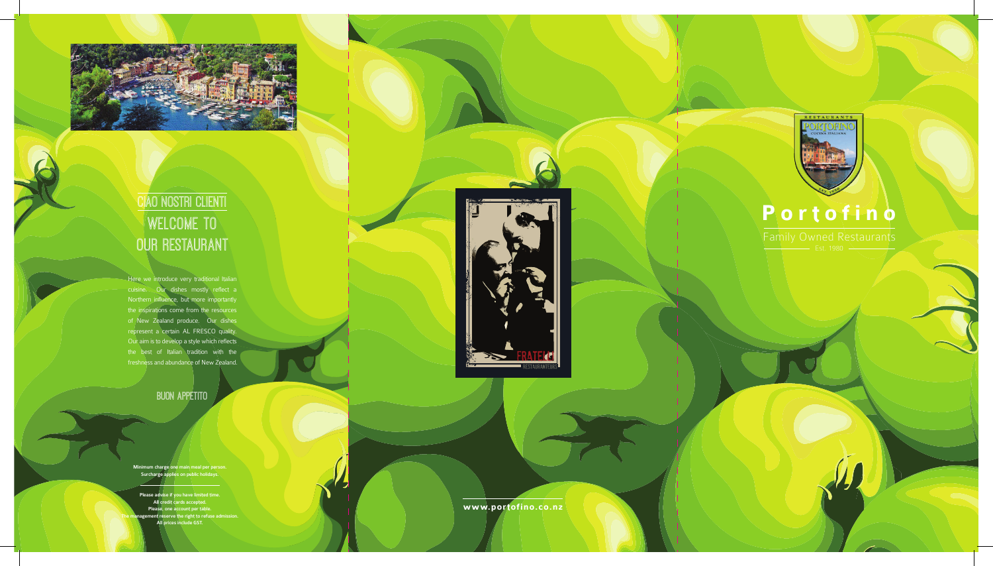**www.portofino.co.nz**



# **Portofino**



## Ciao Nostri Clienti Welcome To OUR RESTAURANT

Family Owned Restaurants

Here we introduce very traditional Italian cuisine. Our dishes mostly reflect a Northern influence, but more importantly the inspirations come from the resources of New Zealand produce. Our dishes represent a certain AL FRESCO quality. Our aim is to develop a style which reflects the best of Italian tradition with the freshness and abundance of New Zealand.

#### BUon Appetito

Minimum charge one main meal per person. Surcharge applies on public holidays.

Please advise if you have limited time. All credit cards accepted. Please, one account per table. The management reserve the right to refuse admission. All prices include GST.